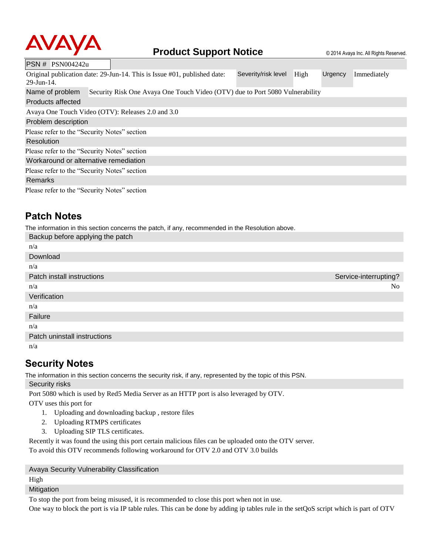

| PSN # PSN004242u                                                                                |                                                                          |                     |      |         |             |  |
|-------------------------------------------------------------------------------------------------|--------------------------------------------------------------------------|---------------------|------|---------|-------------|--|
| $29$ -Jun-14.                                                                                   | Original publication date: 29-Jun-14. This is Issue #01, published date: | Severity/risk level | High | Urgency | Immediately |  |
| Security Risk One Avaya One Touch Video (OTV) due to Port 5080 Vulnerability<br>Name of problem |                                                                          |                     |      |         |             |  |
| <b>Products affected</b>                                                                        |                                                                          |                     |      |         |             |  |
| Avaya One Touch Video (OTV): Releases 2.0 and 3.0                                               |                                                                          |                     |      |         |             |  |
| Problem description                                                                             |                                                                          |                     |      |         |             |  |
| Please refer to the "Security Notes" section                                                    |                                                                          |                     |      |         |             |  |
| Resolution                                                                                      |                                                                          |                     |      |         |             |  |
| Please refer to the "Security Notes" section                                                    |                                                                          |                     |      |         |             |  |
| Workaround or alternative remediation                                                           |                                                                          |                     |      |         |             |  |
| Please refer to the "Security Notes" section                                                    |                                                                          |                     |      |         |             |  |
| Remarks                                                                                         |                                                                          |                     |      |         |             |  |
| Please refer to the "Security Notes" section                                                    |                                                                          |                     |      |         |             |  |

## **Patch Notes**

The information in this section concerns the patch, if any, recommended in the Resolution above.

| Backup before applying the patch |                       |
|----------------------------------|-----------------------|
| n/a                              |                       |
| Download                         |                       |
| n/a                              |                       |
| Patch install instructions       | Service-interrupting? |
| n/a                              | N <sub>o</sub>        |
| Verification                     |                       |
| n/a                              |                       |
| Failure                          |                       |
| n/a                              |                       |
| Patch uninstall instructions     |                       |
| n/a                              |                       |
|                                  |                       |

## **Security Notes**

The information in this section concerns the security risk, if any, represented by the topic of this PSN. Security risks

Port 5080 which is used by Red5 Media Server as an HTTP port is also leveraged by OTV.

OTV uses this port for

- 1. Uploading and downloading backup , restore files
- 2. Uploading RTMPS certificates
- 3. Uploading SIP TLS certificates.

Recently it was found the using this port certain malicious files can be uploaded onto the OTV server.

To avoid this OTV recommends following workaround for OTV 2.0 and OTV 3.0 builds

Avaya Security Vulnerability Classification

High

**Mitigation** 

To stop the port from being misused, it is recommended to close this port when not in use.

One way to block the port is via IP table rules. This can be done by adding ip tables rule in the setQoS script which is part of OTV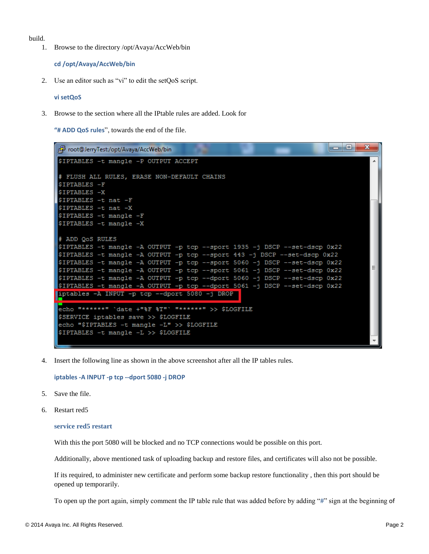build.

1. Browse to the directory /opt/Avaya/AccWeb/bin

**cd /opt/Avaya/AccWeb/bin**

2. Use an editor such as "vi" to edit the setQoS script.

**vi setQoS** 

3. Browse to the section where all the IPtable rules are added. Look for

**"# ADD QoS rules**", towards the end of the file.

```
\Boxe
                                                                                 ×
noot@JerryTest:/opt/Avaya/AccWeb/bin
$IPTABLES -t mangle -P OUTPUT ACCEPT
# FLUSH ALL RULES, ERASE NON-DEFAULT CHAINS
$IPTABLES -F
$IPTABLES -X
$IPTABLES -t nat -F
$IPTABLES -t nat -X
$IPTABLES -t mangle -F
$IPTABLES -t mangle -X
# ADD QoS RULES
$IPTABLES -t mangle -A OUTPUT -p tcp --sport 1935 -j DSCP --set-dscp 0x22
$IPTABLES -t mangle -A OUTPUT -p tcp --sport 443 -j DSCP --set-dscp 0x22
$IPTABLES -t mangle -A OUTPUT -p tcp --sport 5060 -j DSCP --set-dscp 0x22
                                                                                   Ξ
$IPTABLES -t mangle -A OUTPUT -p tcp --sport 5061 -j DSCP --set-dscp 0x22
$IPTABLES -t mangle -A OUTPUT -p tcp --dport 5060 -j DSCP --set-dscp 0x22
$IPTABLES -t mangle -A OUTPUT -p tcp --dport 5061 -j DSCP --set-dscp 0x22
iptables -A INPUT -p tcp --dport 5080 -j DROP
echo "******" 'date +"%F %T"' "******" >> $LOGFILE
$SERVICE iptables save >> $LOGFILE
echo "$IPTABLES -t mangle -L" >> $LOGFILE
$IPTABLES -t mangle -L >> $LOGFILE
```
4. Insert the following line as shown in the above screenshot after all the IP tables rules.

**iptables -A INPUT -p tcp --dport 5080 -j DROP**

- 5. Save the file.
- 6. Restart red5

**service red5 restart**

With this the port 5080 will be blocked and no TCP connections would be possible on this port.

Additionally, above mentioned task of uploading backup and restore files, and certificates will also not be possible.

If its required, to administer new certificate and perform some backup restore functionality , then this port should be opened up temporarily.

To open up the port again, simply comment the IP table rule that was added before by adding "**#**" sign at the beginning of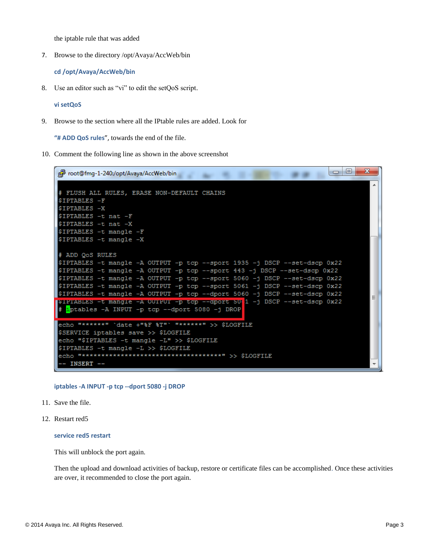the iptable rule that was added

7. Browse to the directory /opt/Avaya/AccWeb/bin

**cd /opt/Avaya/AccWeb/bin**

8. Use an editor such as "vi" to edit the setQoS script.

**vi setQoS**

9. Browse to the section where all the IPtable rules are added. Look for

**"# ADD QoS rules**", towards the end of the file.

10. Comment the following line as shown in the above screenshot

```
\Box\mathbf xpp root@fmg-1-240:/opt/Avaya/AccWeb/bin
                                         ٠
                                                           ..
# FLUSH ALL RULES, ERASE NON-DEFAULT CHAINS
$IPTABLES -F
$IPTABLES -X
$IPTABLES -t nat -F
$IPTABLES -t nat -X
$IPTABLES -t mangle -F
$IPTABLES -t mangle -X
# ADD QoS RULES
$IPTABLES -t mangle -A OUTPUT -p tcp --sport 1935 -j DSCP --set-dscp 0x22
$IPTABLES -t mangle -A OUTPUT -p tcp --sport 443 -j DSCP --set-dscp 0x22
$IPTABLES -t mangle -A OUTPUT -p tcp --sport 5060 -j DSCP --set-dscp 0x22
$IPTABLES -t mangle -A OUTPUT -p tcp --sport 5061 -j DSCP --set-dscp 0x22
$IPTABLES -t mangle -A OUTPUT -p tcp --dport 5060 -j DSCP --set-dscp 0x22
                                                                               Ė
SI<mark>FTABLES -t mangle -A OUTPUT -p tcp --dport 50</mark> 1 -j DSCP --set-dscp 0x22
  iptables -A INPUT -p tcp --dport 5080 -j DROP
echo "******" 'date +"%F %T"' "******" >> $LOGFILE
$SERVICE iptables save >> $LOGFILE
echo "$IPTABLES -t mangle -L" >> $LOGFILE
$IPTABLES -t mangle -L >> $LOGFILE
INSERT --
```
**iptables -A INPUT -p tcp --dport 5080 -j DROP**

- 11. Save the file.
- 12. Restart red5

**service red5 restart**

This will unblock the port again.

Then the upload and download activities of backup, restore or certificate files can be accomplished. Once these activities are over, it recommended to close the port again.

.